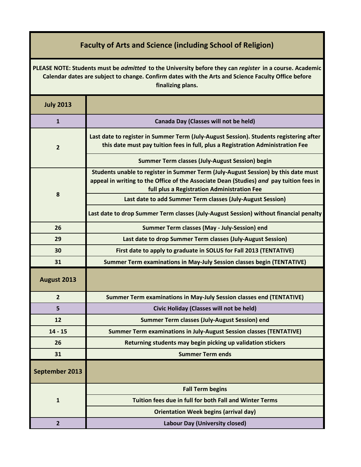## **Faculty of Arts and Science (including School of Religion)**

| PLEASE NOTE: Students must be admitted to the University before they can register in a course. Academic<br>Calendar dates are subject to change. Confirm dates with the Arts and Science Faculty Office before<br>finalizing plans. |                                                                                                                                                                                                                              |
|-------------------------------------------------------------------------------------------------------------------------------------------------------------------------------------------------------------------------------------|------------------------------------------------------------------------------------------------------------------------------------------------------------------------------------------------------------------------------|
| <b>July 2013</b>                                                                                                                                                                                                                    |                                                                                                                                                                                                                              |
| $\mathbf{1}$                                                                                                                                                                                                                        | Canada Day (Classes will not be held)                                                                                                                                                                                        |
| $\overline{2}$                                                                                                                                                                                                                      | Last date to register in Summer Term (July-August Session). Students registering after<br>this date must pay tuition fees in full, plus a Registration Administration Fee                                                    |
|                                                                                                                                                                                                                                     | <b>Summer Term classes (July-August Session) begin</b>                                                                                                                                                                       |
|                                                                                                                                                                                                                                     | Students unable to register in Summer Term (July-August Session) by this date must<br>appeal in writing to the Office of the Associate Dean (Studies) and pay tuition fees in<br>full plus a Registration Administration Fee |
| 8                                                                                                                                                                                                                                   | Last date to add Summer Term classes (July-August Session)                                                                                                                                                                   |
|                                                                                                                                                                                                                                     | Last date to drop Summer Term classes (July-August Session) without financial penalty                                                                                                                                        |
| 26                                                                                                                                                                                                                                  | <b>Summer Term classes (May - July-Session) end</b>                                                                                                                                                                          |
| 29                                                                                                                                                                                                                                  | Last date to drop Summer Term classes (July-August Session)                                                                                                                                                                  |
| 30                                                                                                                                                                                                                                  | First date to apply to graduate in SOLUS for Fall 2013 (TENTATIVE)                                                                                                                                                           |
| 31                                                                                                                                                                                                                                  | Summer Term examinations in May-July Session classes begin (TENTATIVE)                                                                                                                                                       |
| August 2013                                                                                                                                                                                                                         |                                                                                                                                                                                                                              |
| $\overline{2}$                                                                                                                                                                                                                      | Summer Term examinations in May-July Session classes end (TENTATIVE)                                                                                                                                                         |
| 5                                                                                                                                                                                                                                   | <b>Civic Holiday (Classes will not be held)</b>                                                                                                                                                                              |
| 12                                                                                                                                                                                                                                  | <b>Summer Term classes (July-August Session) end</b>                                                                                                                                                                         |
| $14 - 15$                                                                                                                                                                                                                           | <b>Summer Term examinations in July-August Session classes (TENTATIVE)</b>                                                                                                                                                   |
| 26                                                                                                                                                                                                                                  | Returning students may begin picking up validation stickers                                                                                                                                                                  |
| 31                                                                                                                                                                                                                                  | <b>Summer Term ends</b>                                                                                                                                                                                                      |
| September 2013                                                                                                                                                                                                                      |                                                                                                                                                                                                                              |
|                                                                                                                                                                                                                                     | <b>Fall Term begins</b>                                                                                                                                                                                                      |
| $\mathbf{1}$                                                                                                                                                                                                                        | Tuition fees due in full for both Fall and Winter Terms                                                                                                                                                                      |
|                                                                                                                                                                                                                                     | <b>Orientation Week begins (arrival day)</b>                                                                                                                                                                                 |
| $\overline{2}$                                                                                                                                                                                                                      | <b>Labour Day (University closed)</b>                                                                                                                                                                                        |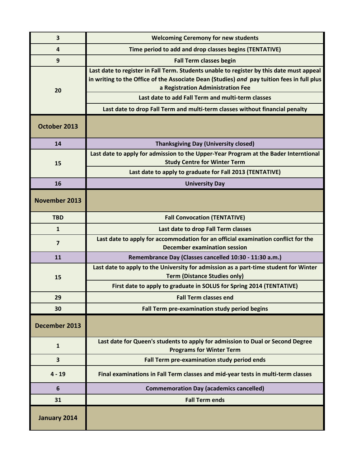| 3                    | <b>Welcoming Ceremony for new students</b>                                                                                                                                                                                                                                                                                                                       |
|----------------------|------------------------------------------------------------------------------------------------------------------------------------------------------------------------------------------------------------------------------------------------------------------------------------------------------------------------------------------------------------------|
| 4                    | Time period to add and drop classes begins (TENTATIVE)                                                                                                                                                                                                                                                                                                           |
| 9                    | <b>Fall Term classes begin</b>                                                                                                                                                                                                                                                                                                                                   |
| 20                   | Last date to register in Fall Term. Students unable to register by this date must appeal<br>in writing to the Office of the Associate Dean (Studies) and pay tuition fees in full plus<br>a Registration Administration Fee<br>Last date to add Fall Term and multi-term classes<br>Last date to drop Fall Term and multi-term classes without financial penalty |
|                      |                                                                                                                                                                                                                                                                                                                                                                  |
| October 2013         |                                                                                                                                                                                                                                                                                                                                                                  |
| 14                   | <b>Thanksgiving Day (University closed)</b>                                                                                                                                                                                                                                                                                                                      |
| 15                   | Last date to apply for admission to the Upper-Year Program at the Bader Interntional<br><b>Study Centre for Winter Term</b>                                                                                                                                                                                                                                      |
|                      | Last date to apply to graduate for Fall 2013 (TENTATIVE)                                                                                                                                                                                                                                                                                                         |
| 16                   | <b>University Day</b>                                                                                                                                                                                                                                                                                                                                            |
| <b>November 2013</b> |                                                                                                                                                                                                                                                                                                                                                                  |
| <b>TBD</b>           | <b>Fall Convocation (TENTATIVE)</b>                                                                                                                                                                                                                                                                                                                              |
| $\mathbf{1}$         | Last date to drop Fall Term classes                                                                                                                                                                                                                                                                                                                              |
| $\overline{7}$       | Last date to apply for accommodation for an official examination conflict for the<br><b>December examination session</b>                                                                                                                                                                                                                                         |
| 11                   | Remembrance Day (Classes cancelled 10:30 - 11:30 a.m.)                                                                                                                                                                                                                                                                                                           |
| 15                   | Last date to apply to the University for admission as a part-time student for Winter<br><b>Term (Distance Studies only)</b>                                                                                                                                                                                                                                      |
|                      | First date to apply to graduate in SOLUS for Spring 2014 (TENTATIVE)                                                                                                                                                                                                                                                                                             |
| 29                   | <b>Fall Term classes end</b>                                                                                                                                                                                                                                                                                                                                     |
| 30                   | Fall Term pre-examination study period begins                                                                                                                                                                                                                                                                                                                    |
| December 2013        |                                                                                                                                                                                                                                                                                                                                                                  |
| $\mathbf{1}$         | Last date for Queen's students to apply for admission to Dual or Second Degree<br><b>Programs for Winter Term</b>                                                                                                                                                                                                                                                |
| 3                    | Fall Term pre-examination study period ends                                                                                                                                                                                                                                                                                                                      |
| $4 - 19$             | Final examinations in Fall Term classes and mid-year tests in multi-term classes                                                                                                                                                                                                                                                                                 |
| 6                    | <b>Commemoration Day (academics cancelled)</b>                                                                                                                                                                                                                                                                                                                   |
| 31                   | <b>Fall Term ends</b>                                                                                                                                                                                                                                                                                                                                            |
| January 2014         |                                                                                                                                                                                                                                                                                                                                                                  |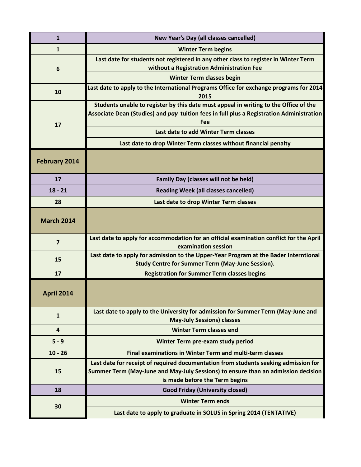| $\mathbf{1}$         | <b>New Year's Day (all classes cancelled)</b>                                                                                                                                                              |
|----------------------|------------------------------------------------------------------------------------------------------------------------------------------------------------------------------------------------------------|
| $\mathbf{1}$         | <b>Winter Term begins</b>                                                                                                                                                                                  |
| 6                    | Last date for students not registered in any other class to register in Winter Term<br>without a Registration Administration Fee                                                                           |
|                      | <b>Winter Term classes begin</b>                                                                                                                                                                           |
| 10                   | Last date to apply to the International Programs Office for exchange programs for 2014<br>2015                                                                                                             |
| 17                   | Students unable to register by this date must appeal in writing to the Office of the<br>Associate Dean (Studies) and pay tuition fees in full plus a Registration Administration<br>Fee                    |
|                      | Last date to add Winter Term classes                                                                                                                                                                       |
|                      | Last date to drop Winter Term classes without financial penalty                                                                                                                                            |
| <b>February 2014</b> |                                                                                                                                                                                                            |
| 17                   | <b>Family Day (classes will not be held)</b>                                                                                                                                                               |
| $18 - 21$            | <b>Reading Week (all classes cancelled)</b>                                                                                                                                                                |
| 28                   | Last date to drop Winter Term classes                                                                                                                                                                      |
| <b>March 2014</b>    |                                                                                                                                                                                                            |
| $\overline{7}$       | Last date to apply for accommodation for an official examination conflict for the April<br>examination session                                                                                             |
| 15                   | Last date to apply for admission to the Upper-Year Program at the Bader Interntional<br><b>Study Centre for Summer Term (May-June Session).</b>                                                            |
| 17                   | <b>Registration for Summer Term classes begins</b>                                                                                                                                                         |
| <b>April 2014</b>    |                                                                                                                                                                                                            |
| $\mathbf{1}$         | Last date to apply to the University for admission for Summer Term (May-June and<br><b>May-July Sessions) classes</b>                                                                                      |
| $\overline{4}$       | <b>Winter Term classes end</b>                                                                                                                                                                             |
| $5 - 9$              | Winter Term pre-exam study period                                                                                                                                                                          |
| $10 - 26$            | Final examinations in Winter Term and multi-term classes                                                                                                                                                   |
| 15                   | Last date for receipt of required documentation from students seeking admission for<br>Summer Term (May-June and May-July Sessions) to ensure than an admission decision<br>is made before the Term begins |
| 18                   | <b>Good Friday (University closed)</b>                                                                                                                                                                     |
| 30                   | <b>Winter Term ends</b>                                                                                                                                                                                    |
|                      |                                                                                                                                                                                                            |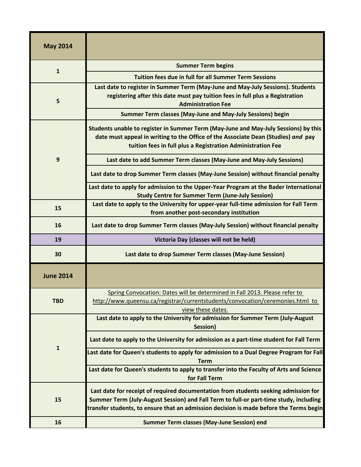| <b>May 2014</b>  |                                                                                                                                                                                                                                                                        |
|------------------|------------------------------------------------------------------------------------------------------------------------------------------------------------------------------------------------------------------------------------------------------------------------|
| $\mathbf{1}$     | <b>Summer Term begins</b>                                                                                                                                                                                                                                              |
|                  | Tuition fees due in full for all Summer Term Sessions                                                                                                                                                                                                                  |
| 5                | Last date to register in Summer Term (May-June and May-July Sessions). Students<br>registering after this date must pay tuition fees in full plus a Registration<br><b>Administration Fee</b>                                                                          |
|                  | <b>Summer Term classes (May-June and May-July Sessions) begin</b>                                                                                                                                                                                                      |
| 9                | Students unable to register in Summer Term (May-June and May-July Sessions) by this<br>date must appeal in writing to the Office of the Associate Dean (Studies) and pay<br>tuition fees in full plus a Registration Administration Fee                                |
|                  | Last date to add Summer Term classes (May-June and May-July Sessions)                                                                                                                                                                                                  |
|                  | Last date to drop Summer Term classes (May-June Session) without financial penalty                                                                                                                                                                                     |
|                  | Last date to apply for admission to the Upper-Year Program at the Bader International<br><b>Study Centre for Summer Term (June-July Session)</b>                                                                                                                       |
| 15               | Last date to apply to the University for upper-year full-time admission for Fall Term<br>from another post-secondary institution                                                                                                                                       |
| 16               | Last date to drop Summer Term classes (May-July Session) without financial penalty                                                                                                                                                                                     |
| 19               | Victoria Day (classes will not be held)                                                                                                                                                                                                                                |
| 30               | Last date to drop Summer Term classes (May-June Session)                                                                                                                                                                                                               |
| <b>June 2014</b> |                                                                                                                                                                                                                                                                        |
| <b>TBD</b>       | Spring Convocation: Dates will be determined in Fall 2013. Please refer to                                                                                                                                                                                             |
|                  | http://www.queensu.ca/registrar/currentstudents/convocation/ceremonies.html to<br>view these dates.                                                                                                                                                                    |
|                  | Last date to apply to the University for admission for Summer Term (July-August<br>Session)                                                                                                                                                                            |
|                  | Last date to apply to the University for admission as a part-time student for Fall Term                                                                                                                                                                                |
| $\mathbf{1}$     | Last date for Queen's students to apply for admission to a Dual Degree Program for Fall<br><b>Term</b>                                                                                                                                                                 |
|                  | Last date for Queen's students to apply to transfer into the Faculty of Arts and Science<br>for Fall Term                                                                                                                                                              |
| 15               | Last date for receipt of required documentation from students seeking admission for<br>Summer Term (July-August Session) and Fall Term to full-or part-time study, including<br>transfer students, to ensure that an admission decision is made before the Terms begin |